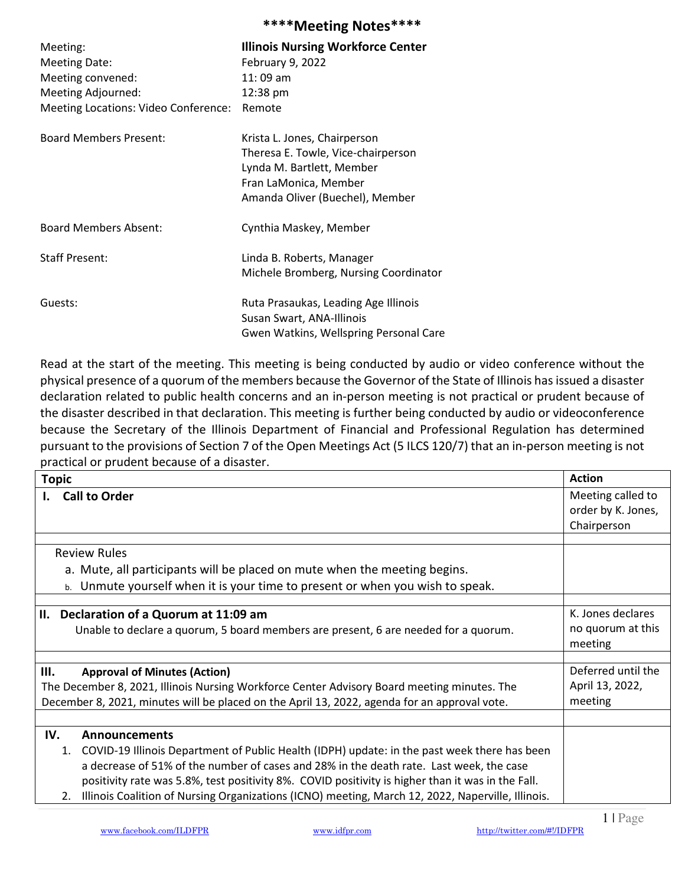## \*\*\*\*Meeting Notes\*\*\*\*

| Meeting:<br><b>Meeting Date:</b><br>Meeting convened:<br>Meeting Adjourned:<br>Meeting Locations: Video Conference: | <b>Illinois Nursing Workforce Center</b><br>February 9, 2022<br>$11:09$ am<br>12:38 pm<br>Remote                                                            |
|---------------------------------------------------------------------------------------------------------------------|-------------------------------------------------------------------------------------------------------------------------------------------------------------|
| <b>Board Members Present:</b>                                                                                       | Krista L. Jones, Chairperson<br>Theresa E. Towle, Vice-chairperson<br>Lynda M. Bartlett, Member<br>Fran LaMonica, Member<br>Amanda Oliver (Buechel), Member |
| <b>Board Members Absent:</b>                                                                                        | Cynthia Maskey, Member                                                                                                                                      |
| <b>Staff Present:</b>                                                                                               | Linda B. Roberts, Manager<br>Michele Bromberg, Nursing Coordinator                                                                                          |
| Guests:                                                                                                             | Ruta Prasaukas, Leading Age Illinois<br>Susan Swart, ANA-Illinois<br>Gwen Watkins, Wellspring Personal Care                                                 |

Read at the start of the meeting. This meeting is being conducted by audio or video conference without the physical presence of a quorum of the members because the Governor of the State of Illinois has issued a disaster declaration related to public health concerns and an in-person meeting is not practical or prudent because of the disaster described in that declaration. This meeting is further being conducted by audio or videoconference because the Secretary of the Illinois Department of Financial and Professional Regulation has determined pursuant to the provisions of Section 7 of the Open Meetings Act (5 ILCS 120/7) that an in-person meeting is not practical or prudent because of a disaster.

| <b>Topic</b>                                                                                            | <b>Action</b>                |
|---------------------------------------------------------------------------------------------------------|------------------------------|
| <b>Call to Order</b><br>L.                                                                              | Meeting called to            |
|                                                                                                         | order by K. Jones,           |
|                                                                                                         | Chairperson                  |
|                                                                                                         |                              |
| <b>Review Rules</b>                                                                                     |                              |
| a. Mute, all participants will be placed on mute when the meeting begins.                               |                              |
| b. Unmute yourself when it is your time to present or when you wish to speak.                           |                              |
|                                                                                                         |                              |
| II.<br>Declaration of a Quorum at 11:09 am                                                              | K. Jones declares            |
| Unable to declare a quorum, 5 board members are present, 6 are needed for a quorum.                     | no quorum at this<br>meeting |
|                                                                                                         |                              |
| Ш.<br><b>Approval of Minutes (Action)</b>                                                               | Deferred until the           |
| The December 8, 2021, Illinois Nursing Workforce Center Advisory Board meeting minutes. The             | April 13, 2022,              |
| December 8, 2021, minutes will be placed on the April 13, 2022, agenda for an approval vote.            | meeting                      |
|                                                                                                         |                              |
| IV.<br><b>Announcements</b>                                                                             |                              |
| 1. COVID-19 Illinois Department of Public Health (IDPH) update: in the past week there has been         |                              |
| a decrease of 51% of the number of cases and 28% in the death rate. Last week, the case                 |                              |
| positivity rate was 5.8%, test positivity 8%. COVID positivity is higher than it was in the Fall.       |                              |
| Illinois Coalition of Nursing Organizations (ICNO) meeting, March 12, 2022, Naperville, Illinois.<br>2. |                              |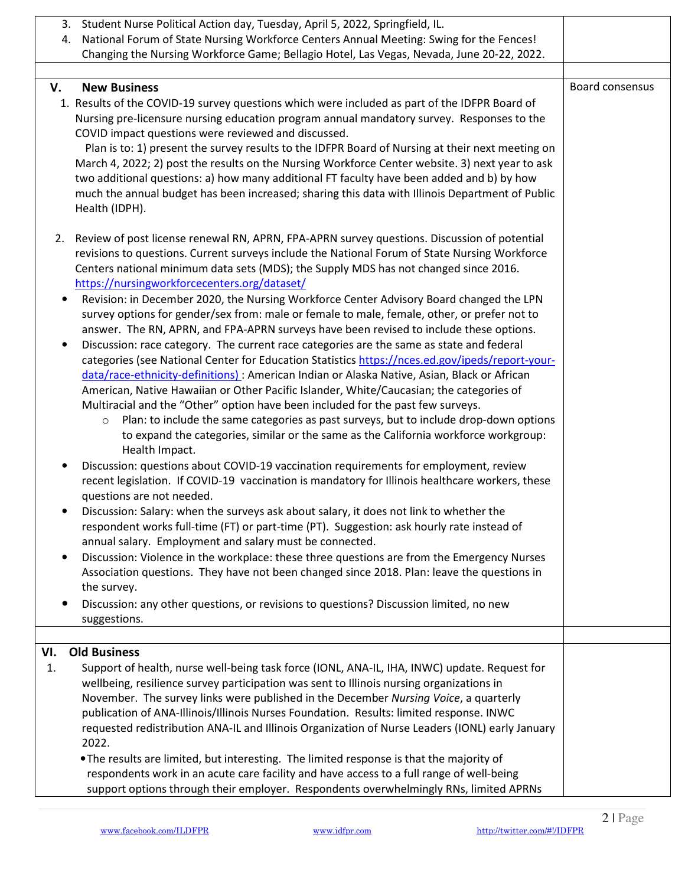| 3. Student Nurse Political Action day, Tuesday, April 5, 2022, Springfield, IL.<br>4. National Forum of State Nursing Workforce Centers Annual Meeting: Swing for the Fences!          |                 |
|----------------------------------------------------------------------------------------------------------------------------------------------------------------------------------------|-----------------|
| Changing the Nursing Workforce Game; Bellagio Hotel, Las Vegas, Nevada, June 20-22, 2022.                                                                                              |                 |
|                                                                                                                                                                                        |                 |
| V.<br><b>New Business</b>                                                                                                                                                              | Board consensus |
| 1. Results of the COVID-19 survey questions which were included as part of the IDFPR Board of                                                                                          |                 |
| Nursing pre-licensure nursing education program annual mandatory survey. Responses to the                                                                                              |                 |
| COVID impact questions were reviewed and discussed.                                                                                                                                    |                 |
| Plan is to: 1) present the survey results to the IDFPR Board of Nursing at their next meeting on                                                                                       |                 |
| March 4, 2022; 2) post the results on the Nursing Workforce Center website. 3) next year to ask                                                                                        |                 |
| two additional questions: a) how many additional FT faculty have been added and b) by how                                                                                              |                 |
| much the annual budget has been increased; sharing this data with Illinois Department of Public                                                                                        |                 |
| Health (IDPH).                                                                                                                                                                         |                 |
| 2. Review of post license renewal RN, APRN, FPA-APRN survey questions. Discussion of potential                                                                                         |                 |
| revisions to questions. Current surveys include the National Forum of State Nursing Workforce                                                                                          |                 |
| Centers national minimum data sets (MDS); the Supply MDS has not changed since 2016.                                                                                                   |                 |
| https://nursingworkforcecenters.org/dataset/                                                                                                                                           |                 |
| Revision: in December 2020, the Nursing Workforce Center Advisory Board changed the LPN<br>$\bullet$                                                                                   |                 |
| survey options for gender/sex from: male or female to male, female, other, or prefer not to                                                                                            |                 |
| answer. The RN, APRN, and FPA-APRN surveys have been revised to include these options.                                                                                                 |                 |
| Discussion: race category. The current race categories are the same as state and federal<br>$\bullet$                                                                                  |                 |
| categories (see National Center for Education Statistics https://nces.ed.gov/ipeds/report-your-                                                                                        |                 |
| data/race-ethnicity-definitions): American Indian or Alaska Native, Asian, Black or African<br>American, Native Hawaiian or Other Pacific Islander, White/Caucasian; the categories of |                 |
| Multiracial and the "Other" option have been included for the past few surveys.                                                                                                        |                 |
| Plan: to include the same categories as past surveys, but to include drop-down options<br>$\circ$                                                                                      |                 |
| to expand the categories, similar or the same as the California workforce workgroup:                                                                                                   |                 |
| Health Impact.                                                                                                                                                                         |                 |
| Discussion: questions about COVID-19 vaccination requirements for employment, review                                                                                                   |                 |
| recent legislation. If COVID-19 vaccination is mandatory for Illinois healthcare workers, these                                                                                        |                 |
| questions are not needed.                                                                                                                                                              |                 |
| Discussion: Salary: when the surveys ask about salary, it does not link to whether the                                                                                                 |                 |
| respondent works full-time (FT) or part-time (PT). Suggestion: ask hourly rate instead of<br>annual salary. Employment and salary must be connected.                                   |                 |
| Discussion: Violence in the workplace: these three questions are from the Emergency Nurses<br>٠                                                                                        |                 |
| Association questions. They have not been changed since 2018. Plan: leave the questions in                                                                                             |                 |
| the survey.                                                                                                                                                                            |                 |
| Discussion: any other questions, or revisions to questions? Discussion limited, no new                                                                                                 |                 |
| suggestions.                                                                                                                                                                           |                 |
|                                                                                                                                                                                        |                 |
| VI.<br><b>Old Business</b>                                                                                                                                                             |                 |
| Support of health, nurse well-being task force (IONL, ANA-IL, IHA, INWC) update. Request for<br>1.                                                                                     |                 |
| wellbeing, resilience survey participation was sent to Illinois nursing organizations in<br>November. The survey links were published in the December Nursing Voice, a quarterly       |                 |
| publication of ANA-Illinois/Illinois Nurses Foundation. Results: limited response. INWC                                                                                                |                 |
| requested redistribution ANA-IL and Illinois Organization of Nurse Leaders (IONL) early January                                                                                        |                 |
| 2022.                                                                                                                                                                                  |                 |
| . The results are limited, but interesting. The limited response is that the majority of                                                                                               |                 |
| respondents work in an acute care facility and have access to a full range of well-being                                                                                               |                 |
| support options through their employer. Respondents overwhelmingly RNs, limited APRNs                                                                                                  |                 |